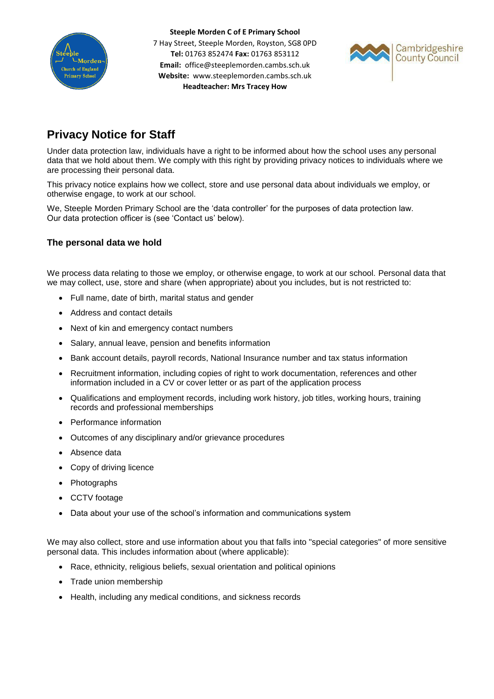

**Steeple Morden C of E Primary School** 7 Hay Street, Steeple Morden, Royston, SG8 0PD **Tel:** 01763 852474 **Fax:** 01763 853112 **Email:** office@steeplemorden.cambs.sch.uk **Website:** www.steeplemorden.cambs.sch.uk **Headteacher: Mrs Tracey How**



# **Privacy Notice for Staff**

Under data protection law, individuals have a right to be informed about how the school uses any personal data that we hold about them. We comply with this right by providing privacy notices to individuals where we are processing their personal data.

This privacy notice explains how we collect, store and use personal data about individuals we employ, or otherwise engage, to work at our school.

We, Steeple Morden Primary School are the 'data controller' for the purposes of data protection law. Our data protection officer is (see 'Contact us' below).

# **The personal data we hold**

We process data relating to those we employ, or otherwise engage, to work at our school. Personal data that we may collect, use, store and share (when appropriate) about you includes, but is not restricted to:

- Full name, date of birth, marital status and gender
- Address and contact details
- Next of kin and emergency contact numbers
- Salary, annual leave, pension and benefits information
- Bank account details, payroll records, National Insurance number and tax status information
- Recruitment information, including copies of right to work documentation, references and other information included in a CV or cover letter or as part of the application process
- Qualifications and employment records, including work history, job titles, working hours, training records and professional memberships
- Performance information
- Outcomes of any disciplinary and/or grievance procedures
- Absence data
- Copy of driving licence
- Photographs
- CCTV footage
- Data about your use of the school's information and communications system

We may also collect, store and use information about you that falls into "special categories" of more sensitive personal data. This includes information about (where applicable):

- Race, ethnicity, religious beliefs, sexual orientation and political opinions
- Trade union membership
- Health, including any medical conditions, and sickness records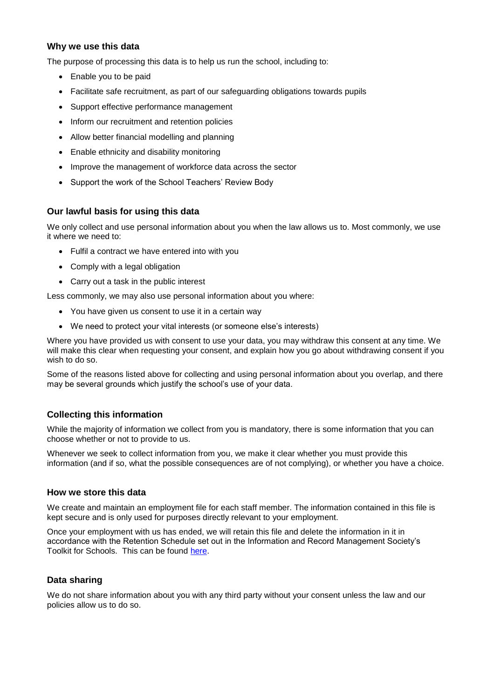# **Why we use this data**

The purpose of processing this data is to help us run the school, including to:

- Enable you to be paid
- Facilitate safe recruitment, as part of our safeguarding obligations towards pupils
- Support effective performance management
- Inform our recruitment and retention policies
- Allow better financial modelling and planning
- Enable ethnicity and disability monitoring
- Improve the management of workforce data across the sector
- Support the work of the School Teachers' Review Body

# **Our lawful basis for using this data**

We only collect and use personal information about you when the law allows us to. Most commonly, we use it where we need to:

- Fulfil a contract we have entered into with you
- Comply with a legal obligation
- Carry out a task in the public interest

Less commonly, we may also use personal information about you where:

- You have given us consent to use it in a certain way
- We need to protect your vital interests (or someone else's interests)

Where you have provided us with consent to use your data, you may withdraw this consent at any time. We will make this clear when requesting your consent, and explain how you go about withdrawing consent if you wish to do so.

Some of the reasons listed above for collecting and using personal information about you overlap, and there may be several grounds which justify the school's use of your data.

# **Collecting this information**

While the majority of information we collect from you is mandatory, there is some information that you can choose whether or not to provide to us.

Whenever we seek to collect information from you, we make it clear whether you must provide this information (and if so, what the possible consequences are of not complying), or whether you have a choice.

#### **How we store this data**

We create and maintain an employment file for each staff member. The information contained in this file is kept secure and is only used for purposes directly relevant to your employment.

Once your employment with us has ended, we will retain this file and delete the information in it in accordance with the Retention Schedule set out in the Information and Record Management Society's Toolkit for Schools. This can be found [here.](http://irms.org.uk/?page=schoolstoolkit&terms=%22toolkit+and+schools%22)

# **Data sharing**

We do not share information about you with any third party without your consent unless the law and our policies allow us to do so.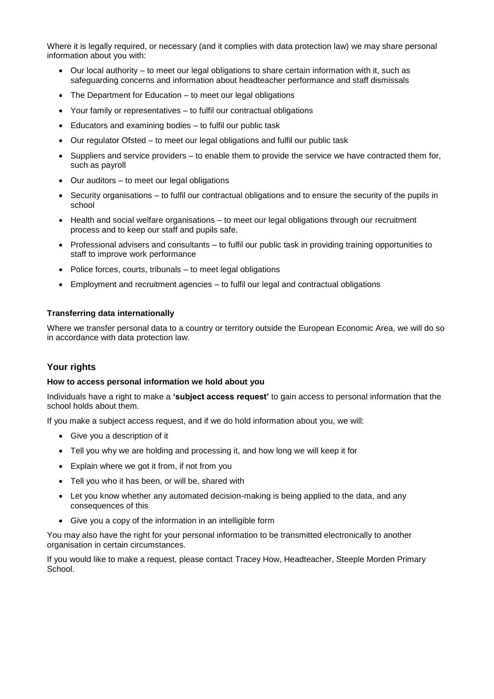Where it is legally required, or necessary (and it complies with data protection law) we may share personal information about you with:

- Our local authority to meet our legal obligations to share certain information with it, such as safeguarding concerns and information about headteacher performance and staff dismissals
- The Department for Education to meet our legal obligations
- Your family or representatives to fulfil our contractual obligations
- Educators and examining bodies to fulfil our public task
- Our regulator Ofsted to meet our legal obligations and fulfil our public task
- Suppliers and service providers to enable them to provide the service we have contracted them for, such as payroll
- Our auditors to meet our legal obligations
- Security organisations to fulfil our contractual obligations and to ensure the security of the pupils in school
- Health and social welfare organisations to meet our legal obligations through our recruitment process and to keep our staff and pupils safe.
- Professional advisers and consultants to fulfil our public task in providing training opportunities to staff to improve work performance
- Police forces, courts, tribunals to meet legal obligations
- Employment and recruitment agencies to fulfil our legal and contractual obligations

#### **Transferring data internationally**

Where we transfer personal data to a country or territory outside the European Economic Area, we will do so in accordance with data protection law.

#### **Your rights**

#### **How to access personal information we hold about you**

Individuals have a right to make a **'subject access request'** to gain access to personal information that the school holds about them.

If you make a subject access request, and if we do hold information about you, we will:

- Give you a description of it
- Tell you why we are holding and processing it, and how long we will keep it for
- Explain where we got it from, if not from you
- Tell you who it has been, or will be, shared with
- Let you know whether any automated decision-making is being applied to the data, and any consequences of this
- Give you a copy of the information in an intelligible form

You may also have the right for your personal information to be transmitted electronically to another organisation in certain circumstances.

If you would like to make a request, please contact Tracey How, Headteacher, Steeple Morden Primary School.